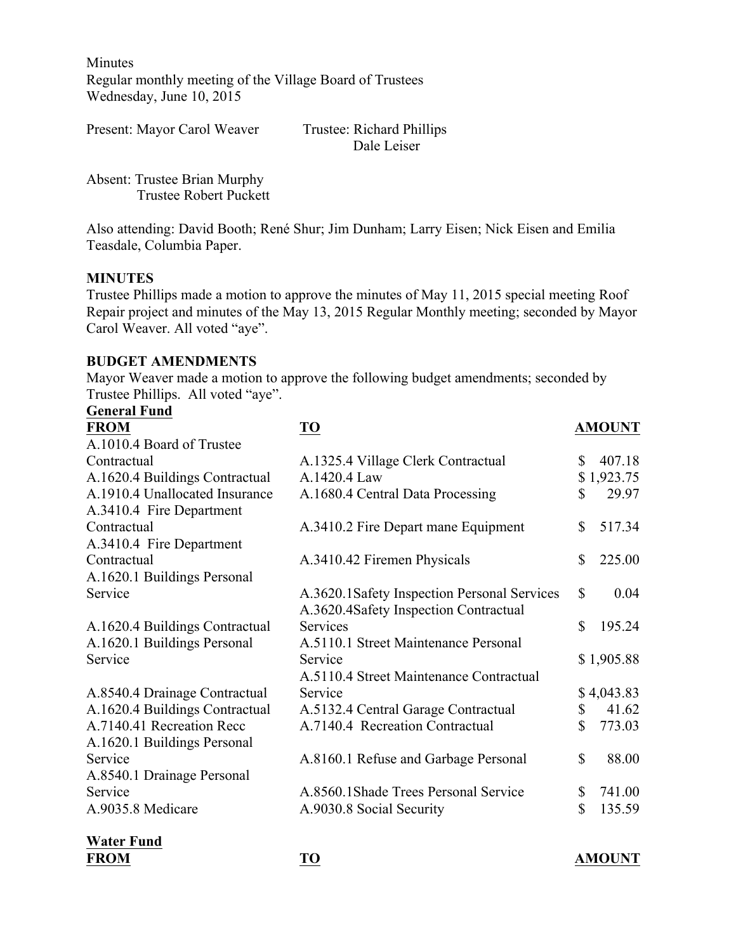Minutes Regular monthly meeting of the Village Board of Trustees Wednesday, June 10, 2015

Present: Mayor Carol Weaver Trustee: Richard Phillips Dale Leiser

Absent: Trustee Brian Murphy Trustee Robert Puckett

Also attending: David Booth; René Shur; Jim Dunham; Larry Eisen; Nick Eisen and Emilia Teasdale, Columbia Paper.

# **MINUTES**

Trustee Phillips made a motion to approve the minutes of May 11, 2015 special meeting Roof Repair project and minutes of the May 13, 2015 Regular Monthly meeting; seconded by Mayor Carol Weaver. All voted "aye".

#### **BUDGET AMENDMENTS**

Mayor Weaver made a motion to approve the following budget amendments; seconded by Trustee Phillips. All voted "aye".

| <b>General Fund</b>            |                                             |               |
|--------------------------------|---------------------------------------------|---------------|
| <b>FROM</b>                    | <b>TO</b>                                   | <b>AMOUNT</b> |
| A.1010.4 Board of Trustee      |                                             |               |
| Contractual                    | A.1325.4 Village Clerk Contractual          | \$<br>407.18  |
| A.1620.4 Buildings Contractual | A.1420.4 Law                                | \$1,923.75    |
| A.1910.4 Unallocated Insurance | A.1680.4 Central Data Processing            | \$<br>29.97   |
| A.3410.4 Fire Department       |                                             |               |
| Contractual                    | A.3410.2 Fire Depart mane Equipment         | \$<br>517.34  |
| A.3410.4 Fire Department       |                                             |               |
| Contractual                    | A.3410.42 Firemen Physicals                 | \$<br>225.00  |
| A.1620.1 Buildings Personal    |                                             |               |
| Service                        | A.3620.1Safety Inspection Personal Services | \$<br>0.04    |
|                                | A.3620.4Safety Inspection Contractual       |               |
| A.1620.4 Buildings Contractual | Services                                    | \$<br>195.24  |
| A.1620.1 Buildings Personal    | A.5110.1 Street Maintenance Personal        |               |
| Service                        | Service                                     | \$1,905.88    |
|                                | A.5110.4 Street Maintenance Contractual     |               |
| A.8540.4 Drainage Contractual  | Service                                     | \$4,043.83    |
| A.1620.4 Buildings Contractual | A.5132.4 Central Garage Contractual         | \$<br>41.62   |
| A.7140.41 Recreation Recc      | A.7140.4 Recreation Contractual             | \$<br>773.03  |
| A.1620.1 Buildings Personal    |                                             |               |
| Service                        | A.8160.1 Refuse and Garbage Personal        | \$<br>88.00   |
| A.8540.1 Drainage Personal     |                                             |               |
| Service                        | A.8560.1Shade Trees Personal Service        | \$<br>741.00  |
| A.9035.8 Medicare              | A.9030.8 Social Security                    | \$<br>135.59  |
|                                |                                             |               |

**Water Fund FROM TO AMOUNT**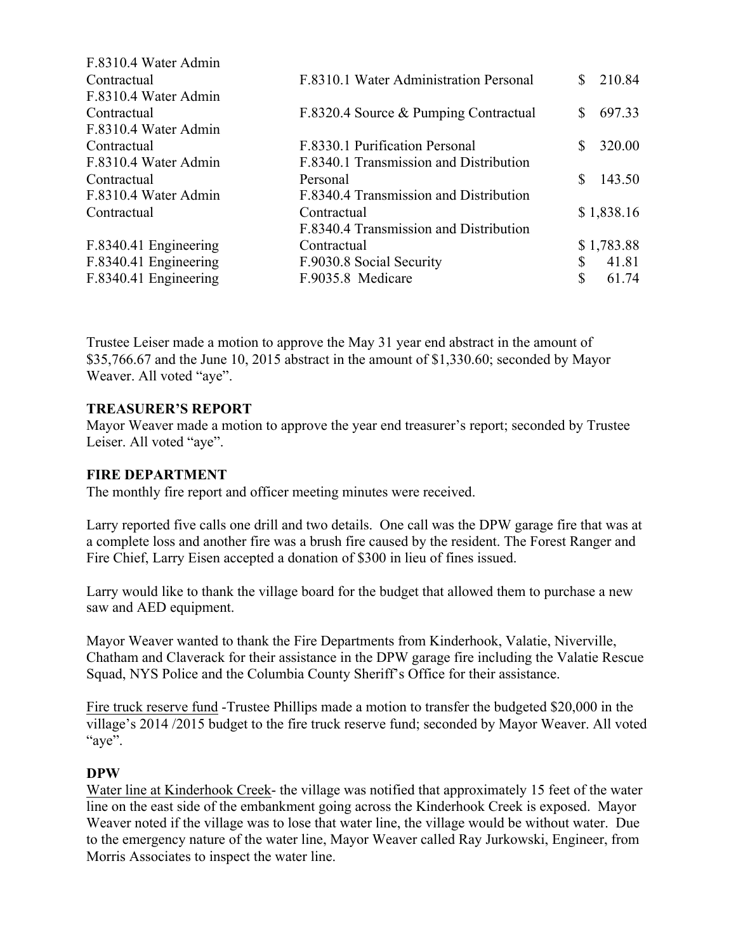| F.8310.4 Water Admin  |                                        |               |
|-----------------------|----------------------------------------|---------------|
| Contractual           | F.8310.1 Water Administration Personal | 210.84        |
| F.8310.4 Water Admin  |                                        |               |
| Contractual           | F.8320.4 Source & Pumping Contractual  | 697.33<br>\$. |
| F.8310.4 Water Admin  |                                        |               |
| Contractual           | F.8330.1 Purification Personal         | 320.00        |
| F.8310.4 Water Admin  | F.8340.1 Transmission and Distribution |               |
| Contractual           | Personal                               | 143.50<br>S   |
| F.8310.4 Water Admin  | F.8340.4 Transmission and Distribution |               |
| Contractual           | Contractual                            | \$1,838.16    |
|                       | F.8340.4 Transmission and Distribution |               |
| F.8340.41 Engineering | Contractual                            | \$1,783.88    |
| F.8340.41 Engineering | F.9030.8 Social Security               | 41.81<br>S    |
| F.8340.41 Engineering | F.9035.8 Medicare                      | \$<br>61.74   |
|                       |                                        |               |

Trustee Leiser made a motion to approve the May 31 year end abstract in the amount of \$35,766.67 and the June 10, 2015 abstract in the amount of \$1,330.60; seconded by Mayor Weaver. All voted "aye".

# **TREASURER'S REPORT**

Mayor Weaver made a motion to approve the year end treasurer's report; seconded by Trustee Leiser. All voted "aye".

# **FIRE DEPARTMENT**

The monthly fire report and officer meeting minutes were received.

Larry reported five calls one drill and two details. One call was the DPW garage fire that was at a complete loss and another fire was a brush fire caused by the resident. The Forest Ranger and Fire Chief, Larry Eisen accepted a donation of \$300 in lieu of fines issued.

Larry would like to thank the village board for the budget that allowed them to purchase a new saw and AED equipment.

Mayor Weaver wanted to thank the Fire Departments from Kinderhook, Valatie, Niverville, Chatham and Claverack for their assistance in the DPW garage fire including the Valatie Rescue Squad, NYS Police and the Columbia County Sheriff's Office for their assistance.

Fire truck reserve fund -Trustee Phillips made a motion to transfer the budgeted \$20,000 in the village's 2014 /2015 budget to the fire truck reserve fund; seconded by Mayor Weaver. All voted "aye".

# **DPW**

Water line at Kinderhook Creek- the village was notified that approximately 15 feet of the water line on the east side of the embankment going across the Kinderhook Creek is exposed. Mayor Weaver noted if the village was to lose that water line, the village would be without water. Due to the emergency nature of the water line, Mayor Weaver called Ray Jurkowski, Engineer, from Morris Associates to inspect the water line.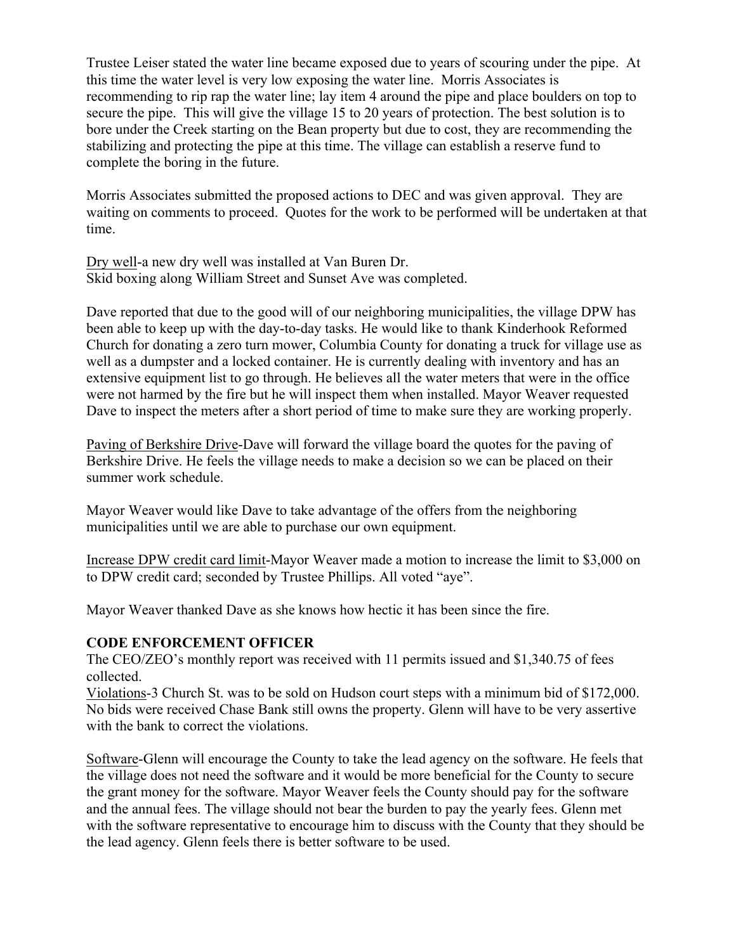Trustee Leiser stated the water line became exposed due to years of scouring under the pipe. At this time the water level is very low exposing the water line. Morris Associates is recommending to rip rap the water line; lay item 4 around the pipe and place boulders on top to secure the pipe. This will give the village 15 to 20 years of protection. The best solution is to bore under the Creek starting on the Bean property but due to cost, they are recommending the stabilizing and protecting the pipe at this time. The village can establish a reserve fund to complete the boring in the future.

Morris Associates submitted the proposed actions to DEC and was given approval. They are waiting on comments to proceed. Quotes for the work to be performed will be undertaken at that time.

Dry well-a new dry well was installed at Van Buren Dr. Skid boxing along William Street and Sunset Ave was completed.

Dave reported that due to the good will of our neighboring municipalities, the village DPW has been able to keep up with the day-to-day tasks. He would like to thank Kinderhook Reformed Church for donating a zero turn mower, Columbia County for donating a truck for village use as well as a dumpster and a locked container. He is currently dealing with inventory and has an extensive equipment list to go through. He believes all the water meters that were in the office were not harmed by the fire but he will inspect them when installed. Mayor Weaver requested Dave to inspect the meters after a short period of time to make sure they are working properly.

Paving of Berkshire Drive-Dave will forward the village board the quotes for the paving of Berkshire Drive. He feels the village needs to make a decision so we can be placed on their summer work schedule.

Mayor Weaver would like Dave to take advantage of the offers from the neighboring municipalities until we are able to purchase our own equipment.

Increase DPW credit card limit-Mayor Weaver made a motion to increase the limit to \$3,000 on to DPW credit card; seconded by Trustee Phillips. All voted "aye".

Mayor Weaver thanked Dave as she knows how hectic it has been since the fire.

#### **CODE ENFORCEMENT OFFICER**

The CEO/ZEO's monthly report was received with 11 permits issued and \$1,340.75 of fees collected.

Violations-3 Church St. was to be sold on Hudson court steps with a minimum bid of \$172,000. No bids were received Chase Bank still owns the property. Glenn will have to be very assertive with the bank to correct the violations.

Software-Glenn will encourage the County to take the lead agency on the software. He feels that the village does not need the software and it would be more beneficial for the County to secure the grant money for the software. Mayor Weaver feels the County should pay for the software and the annual fees. The village should not bear the burden to pay the yearly fees. Glenn met with the software representative to encourage him to discuss with the County that they should be the lead agency. Glenn feels there is better software to be used.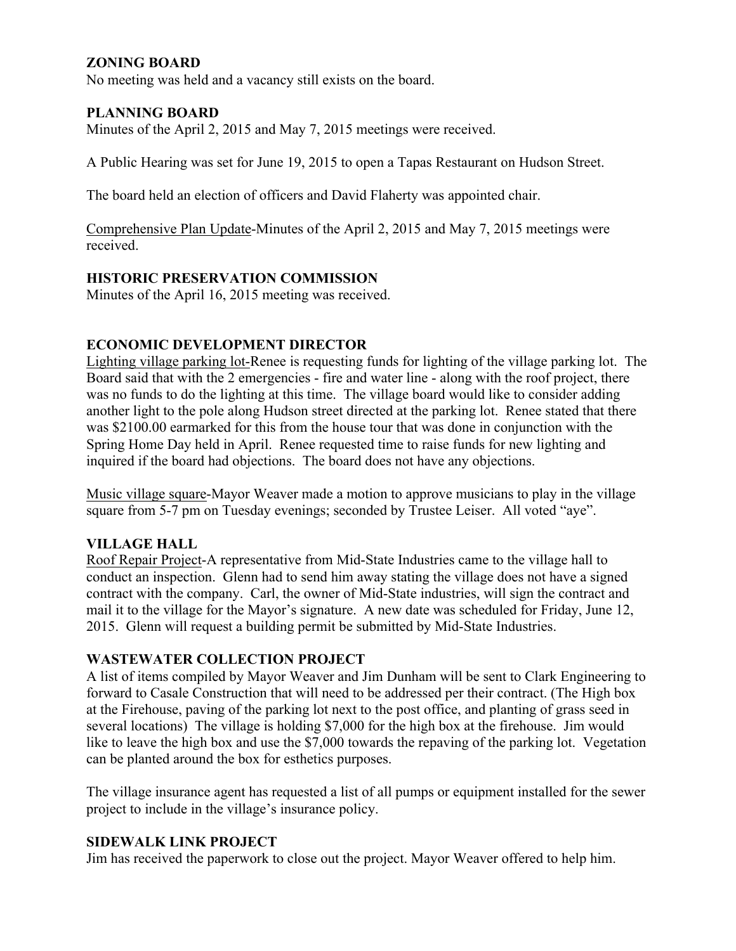# **ZONING BOARD**

No meeting was held and a vacancy still exists on the board.

## **PLANNING BOARD**

Minutes of the April 2, 2015 and May 7, 2015 meetings were received.

A Public Hearing was set for June 19, 2015 to open a Tapas Restaurant on Hudson Street.

The board held an election of officers and David Flaherty was appointed chair.

Comprehensive Plan Update-Minutes of the April 2, 2015 and May 7, 2015 meetings were received.

### **HISTORIC PRESERVATION COMMISSION**

Minutes of the April 16, 2015 meeting was received.

### **ECONOMIC DEVELOPMENT DIRECTOR**

Lighting village parking lot-Renee is requesting funds for lighting of the village parking lot. The Board said that with the 2 emergencies - fire and water line - along with the roof project, there was no funds to do the lighting at this time. The village board would like to consider adding another light to the pole along Hudson street directed at the parking lot. Renee stated that there was \$2100.00 earmarked for this from the house tour that was done in conjunction with the Spring Home Day held in April. Renee requested time to raise funds for new lighting and inquired if the board had objections. The board does not have any objections.

Music village square-Mayor Weaver made a motion to approve musicians to play in the village square from 5-7 pm on Tuesday evenings; seconded by Trustee Leiser. All voted "aye".

#### **VILLAGE HALL**

Roof Repair Project-A representative from Mid-State Industries came to the village hall to conduct an inspection. Glenn had to send him away stating the village does not have a signed contract with the company. Carl, the owner of Mid-State industries, will sign the contract and mail it to the village for the Mayor's signature. A new date was scheduled for Friday, June 12, 2015. Glenn will request a building permit be submitted by Mid-State Industries.

#### **WASTEWATER COLLECTION PROJECT**

A list of items compiled by Mayor Weaver and Jim Dunham will be sent to Clark Engineering to forward to Casale Construction that will need to be addressed per their contract. (The High box at the Firehouse, paving of the parking lot next to the post office, and planting of grass seed in several locations) The village is holding \$7,000 for the high box at the firehouse. Jim would like to leave the high box and use the \$7,000 towards the repaving of the parking lot. Vegetation can be planted around the box for esthetics purposes.

The village insurance agent has requested a list of all pumps or equipment installed for the sewer project to include in the village's insurance policy.

#### **SIDEWALK LINK PROJECT**

Jim has received the paperwork to close out the project. Mayor Weaver offered to help him.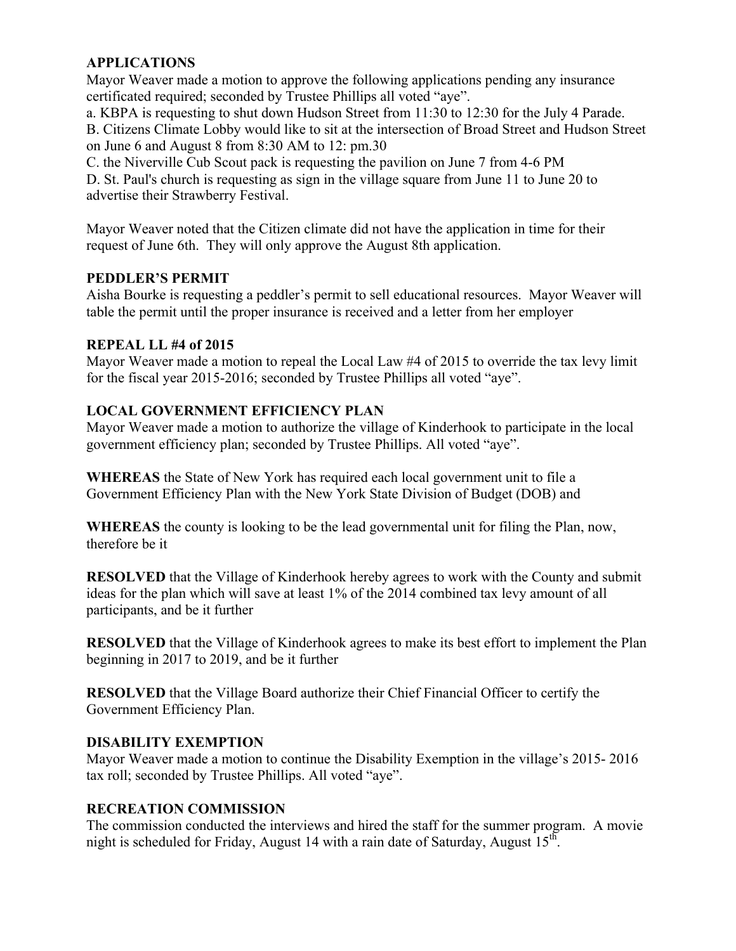# **APPLICATIONS**

Mayor Weaver made a motion to approve the following applications pending any insurance certificated required; seconded by Trustee Phillips all voted "aye".

a. KBPA is requesting to shut down Hudson Street from 11:30 to 12:30 for the July 4 Parade.

B. Citizens Climate Lobby would like to sit at the intersection of Broad Street and Hudson Street on June 6 and August 8 from 8:30 AM to 12: pm.30

C. the Niverville Cub Scout pack is requesting the pavilion on June 7 from 4-6 PM D. St. Paul's church is requesting as sign in the village square from June 11 to June 20 to advertise their Strawberry Festival.

Mayor Weaver noted that the Citizen climate did not have the application in time for their request of June 6th. They will only approve the August 8th application.

# **PEDDLER'S PERMIT**

Aisha Bourke is requesting a peddler's permit to sell educational resources. Mayor Weaver will table the permit until the proper insurance is received and a letter from her employer

# **REPEAL LL #4 of 2015**

Mayor Weaver made a motion to repeal the Local Law #4 of 2015 to override the tax levy limit for the fiscal year 2015-2016; seconded by Trustee Phillips all voted "aye".

# **LOCAL GOVERNMENT EFFICIENCY PLAN**

Mayor Weaver made a motion to authorize the village of Kinderhook to participate in the local government efficiency plan; seconded by Trustee Phillips. All voted "aye".

**WHEREAS** the State of New York has required each local government unit to file a Government Efficiency Plan with the New York State Division of Budget (DOB) and

**WHEREAS** the county is looking to be the lead governmental unit for filing the Plan, now, therefore be it

**RESOLVED** that the Village of Kinderhook hereby agrees to work with the County and submit ideas for the plan which will save at least 1% of the 2014 combined tax levy amount of all participants, and be it further

**RESOLVED** that the Village of Kinderhook agrees to make its best effort to implement the Plan beginning in 2017 to 2019, and be it further

**RESOLVED** that the Village Board authorize their Chief Financial Officer to certify the Government Efficiency Plan.

# **DISABILITY EXEMPTION**

Mayor Weaver made a motion to continue the Disability Exemption in the village's 2015- 2016 tax roll; seconded by Trustee Phillips. All voted "aye".

# **RECREATION COMMISSION**

The commission conducted the interviews and hired the staff for the summer program. A movie night is scheduled for Friday, August 14 with a rain date of Saturday, August  $15<sup>th</sup>$ .